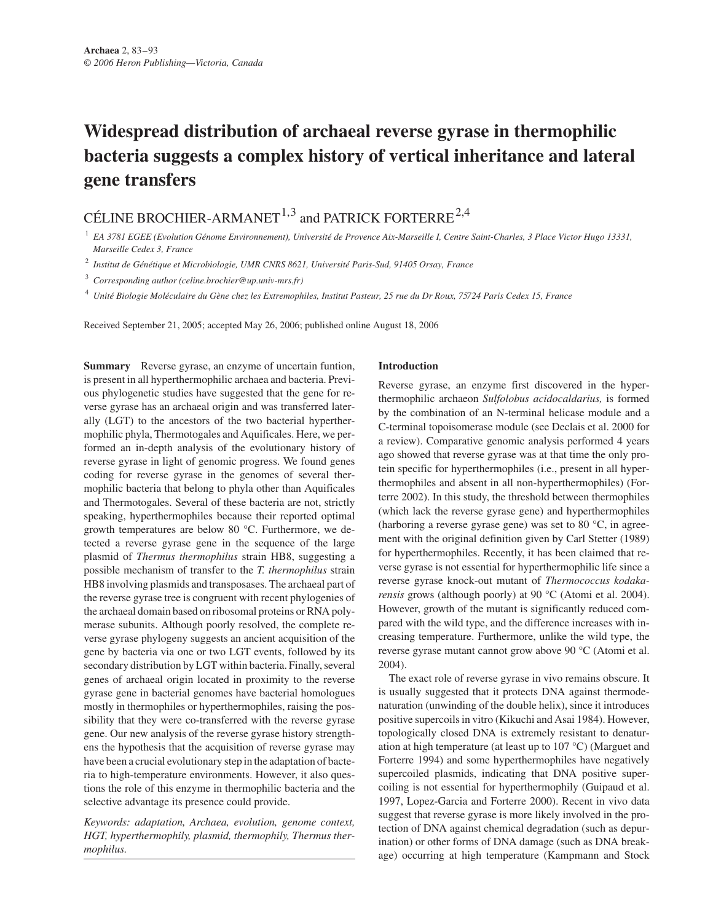# **Widespread distribution of archaeal reverse gyrase in thermophilic bacteria suggests a complex history of vertical inheritance and lateral gene transfers**

# CÉLINE BROCHIER-ARMANET<sup>1,3</sup> and PATRICK FORTERRE<sup>2,4</sup>

<sup>1</sup> *EA 3781 EGEE (Evolution Génome Environnement), Université de Provence Aix-Marseille I, Centre Saint-Charles, 3 Place Victor Hugo 13331, Marseille Cedex 3, France*

<sup>2</sup> *Institut de Génétique et Microbiologie, UMR CNRS 8621, Université Paris-Sud, 91405 Orsay, France*

<sup>3</sup> *Corresponding author (celine.brochier@up.univ-mrs.fr)*

<sup>4</sup> *Unité Biologie Moléculaire du Gène chez les Extremophiles, Institut Pasteur, 25 rue du Dr Roux, 75724 Paris Cedex 15, France*

Received September 21, 2005; accepted May 26, 2006; published online August 18, 2006

**Summary** Reverse gyrase, an enzyme of uncertain funtion, is present in all hyperthermophilic archaea and bacteria. Previous phylogenetic studies have suggested that the gene for reverse gyrase has an archaeal origin and was transferred laterally (LGT) to the ancestors of the two bacterial hyperthermophilic phyla, Thermotogales and Aquificales. Here, we performed an in-depth analysis of the evolutionary history of reverse gyrase in light of genomic progress. We found genes coding for reverse gyrase in the genomes of several thermophilic bacteria that belong to phyla other than Aquificales and Thermotogales. Several of these bacteria are not, strictly speaking, hyperthermophiles because their reported optimal growth temperatures are below 80 °C. Furthermore, we detected a reverse gyrase gene in the sequence of the large plasmid of *Thermus thermophilus* strain HB8, suggesting a possible mechanism of transfer to the *T. thermophilus* strain HB8 involving plasmids and transposases. The archaeal part of the reverse gyrase tree is congruent with recent phylogenies of the archaeal domain based on ribosomal proteins or RNA polymerase subunits. Although poorly resolved, the complete reverse gyrase phylogeny suggests an ancient acquisition of the gene by bacteria via one or two LGT events, followed by its secondary distribution by LGT within bacteria. Finally, several genes of archaeal origin located in proximity to the reverse gyrase gene in bacterial genomes have bacterial homologues mostly in thermophiles or hyperthermophiles, raising the possibility that they were co-transferred with the reverse gyrase gene. Our new analysis of the reverse gyrase history strengthens the hypothesis that the acquisition of reverse gyrase may have been a crucial evolutionary step in the adaptation of bacteria to high-temperature environments. However, it also questions the role of this enzyme in thermophilic bacteria and the selective advantage its presence could provide.

*Keywords: adaptation, Archaea, evolution, genome context, HGT, hyperthermophily, plasmid, thermophily, Thermus thermophilus.*

## **Introduction**

Reverse gyrase, an enzyme first discovered in the hyperthermophilic archaeon *Sulfolobus acidocaldarius,* is formed by the combination of an N-terminal helicase module and a C-terminal topoisomerase module (see Declais et al. 2000 for a review). Comparative genomic analysis performed 4 years ago showed that reverse gyrase was at that time the only protein specific for hyperthermophiles (i.e., present in all hyperthermophiles and absent in all non-hyperthermophiles) (Forterre 2002). In this study, the threshold between thermophiles (which lack the reverse gyrase gene) and hyperthermophiles (harboring a reverse gyrase gene) was set to 80 °C, in agreement with the original definition given by Carl Stetter (1989) for hyperthermophiles. Recently, it has been claimed that reverse gyrase is not essential for hyperthermophilic life since a reverse gyrase knock-out mutant of *Thermococcus kodakarensis* grows (although poorly) at 90 °C (Atomi et al. 2004). However, growth of the mutant is significantly reduced compared with the wild type, and the difference increases with increasing temperature. Furthermore, unlike the wild type, the reverse gyrase mutant cannot grow above 90 °C (Atomi et al. 2004).

The exact role of reverse gyrase in vivo remains obscure. It is usually suggested that it protects DNA against thermodenaturation (unwinding of the double helix), since it introduces positive supercoils in vitro (Kikuchi and Asai 1984). However, topologically closed DNA is extremely resistant to denaturation at high temperature (at least up to 107 °C) (Marguet and Forterre 1994) and some hyperthermophiles have negatively supercoiled plasmids, indicating that DNA positive supercoiling is not essential for hyperthermophily (Guipaud et al. 1997, Lopez-Garcia and Forterre 2000). Recent in vivo data suggest that reverse gyrase is more likely involved in the protection of DNA against chemical degradation (such as depurination) or other forms of DNA damage (such as DNA breakage) occurring at high temperature (Kampmann and Stock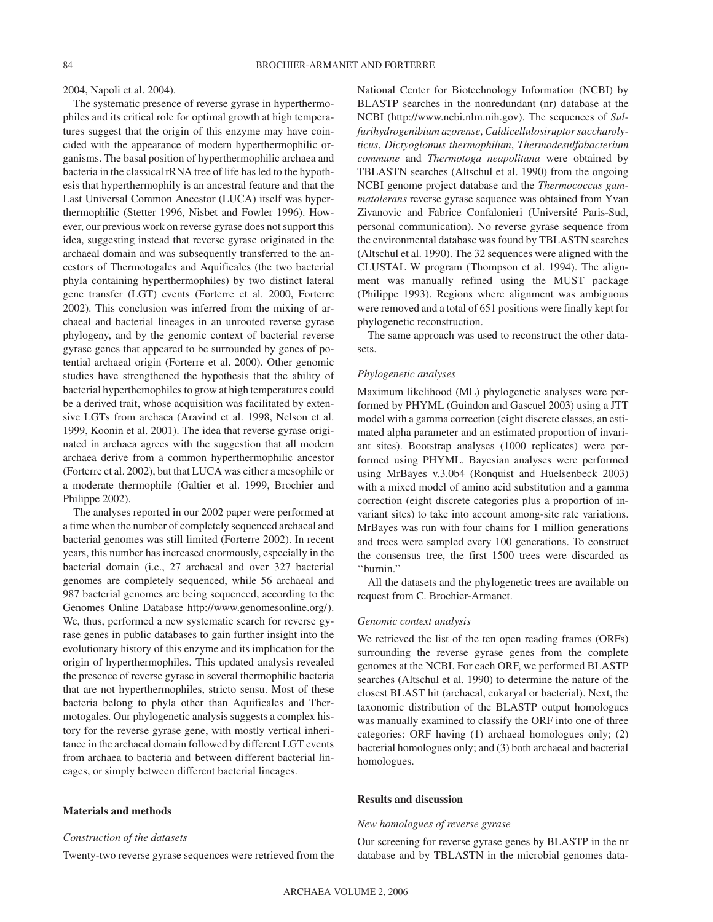2004, Napoli et al. 2004).

The systematic presence of reverse gyrase in hyperthermophiles and its critical role for optimal growth at high temperatures suggest that the origin of this enzyme may have coincided with the appearance of modern hyperthermophilic organisms. The basal position of hyperthermophilic archaea and bacteria in the classical rRNA tree of life has led to the hypothesis that hyperthermophily is an ancestral feature and that the Last Universal Common Ancestor (LUCA) itself was hyperthermophilic (Stetter 1996, Nisbet and Fowler 1996). However, our previous work on reverse gyrase does not support this idea, suggesting instead that reverse gyrase originated in the archaeal domain and was subsequently transferred to the ancestors of Thermotogales and Aquificales (the two bacterial phyla containing hyperthermophiles) by two distinct lateral gene transfer (LGT) events (Forterre et al. 2000, Forterre 2002). This conclusion was inferred from the mixing of archaeal and bacterial lineages in an unrooted reverse gyrase phylogeny, and by the genomic context of bacterial reverse gyrase genes that appeared to be surrounded by genes of potential archaeal origin (Forterre et al. 2000). Other genomic studies have strengthened the hypothesis that the ability of bacterial hyperthemophiles to grow at high temperatures could be a derived trait, whose acquisition was facilitated by extensive LGTs from archaea (Aravind et al. 1998, Nelson et al. 1999, Koonin et al. 2001). The idea that reverse gyrase originated in archaea agrees with the suggestion that all modern archaea derive from a common hyperthermophilic ancestor (Forterre et al. 2002), but that LUCA was either a mesophile or a moderate thermophile (Galtier et al. 1999, Brochier and Philippe 2002).

The analyses reported in our 2002 paper were performed at a time when the number of completely sequenced archaeal and bacterial genomes was still limited (Forterre 2002). In recent years, this number has increased enormously, especially in the bacterial domain (i.e., 27 archaeal and over 327 bacterial genomes are completely sequenced, while 56 archaeal and 987 bacterial genomes are being sequenced, according to the Genomes Online Database http://www.genomesonline.org/). We, thus, performed a new systematic search for reverse gyrase genes in public databases to gain further insight into the evolutionary history of this enzyme and its implication for the origin of hyperthermophiles. This updated analysis revealed the presence of reverse gyrase in several thermophilic bacteria that are not hyperthermophiles, stricto sensu. Most of these bacteria belong to phyla other than Aquificales and Thermotogales. Our phylogenetic analysis suggests a complex history for the reverse gyrase gene, with mostly vertical inheritance in the archaeal domain followed by different LGT events from archaea to bacteria and between different bacterial lineages, or simply between different bacterial lineages.

#### **Materials and methods**

### *Construction of the datasets*

Twenty-two reverse gyrase sequences were retrieved from the

National Center for Biotechnology Information (NCBI) by BLASTP searches in the nonredundant (nr) database at the NCBI (http://www.ncbi.nlm.nih.gov). The sequences of *Sulfurihydrogenibium azorense*, *Caldicellulosiruptor saccharolyticus*, *Dictyoglomus thermophilum*, *Thermodesulfobacterium commune* and *Thermotoga neapolitana* were obtained by TBLASTN searches (Altschul et al. 1990) from the ongoing NCBI genome project database and the *Thermococcus gammatolerans* reverse gyrase sequence was obtained from Yvan Zivanovic and Fabrice Confalonieri (Université Paris-Sud, personal communication). No reverse gyrase sequence from the environmental database was found by TBLASTN searches (Altschul et al. 1990). The 32 sequences were aligned with the CLUSTAL W program (Thompson et al. 1994). The alignment was manually refined using the MUST package (Philippe 1993). Regions where alignment was ambiguous were removed and a total of 651 positions were finally kept for phylogenetic reconstruction.

The same approach was used to reconstruct the other datasets.

#### *Phylogenetic analyses*

Maximum likelihood (ML) phylogenetic analyses were performed by PHYML (Guindon and Gascuel 2003) using a JTT model with a gamma correction (eight discrete classes, an estimated alpha parameter and an estimated proportion of invariant sites). Bootstrap analyses (1000 replicates) were performed using PHYML. Bayesian analyses were performed using MrBayes v.3.0b4 (Ronquist and Huelsenbeck 2003) with a mixed model of amino acid substitution and a gamma correction (eight discrete categories plus a proportion of invariant sites) to take into account among-site rate variations. MrBayes was run with four chains for 1 million generations and trees were sampled every 100 generations. To construct the consensus tree, the first 1500 trees were discarded as ''burnin.''

All the datasets and the phylogenetic trees are available on request from C. Brochier-Armanet.

### *Genomic context analysis*

We retrieved the list of the ten open reading frames (ORFs) surrounding the reverse gyrase genes from the complete genomes at the NCBI. For each ORF, we performed BLASTP searches (Altschul et al. 1990) to determine the nature of the closest BLAST hit (archaeal, eukaryal or bacterial). Next, the taxonomic distribution of the BLASTP output homologues was manually examined to classify the ORF into one of three categories: ORF having (1) archaeal homologues only; (2) bacterial homologues only; and (3) both archaeal and bacterial homologues.

## **Results and discussion**

## *New homologues of reverse gyrase*

Our screening for reverse gyrase genes by BLASTP in the nr database and by TBLASTN in the microbial genomes data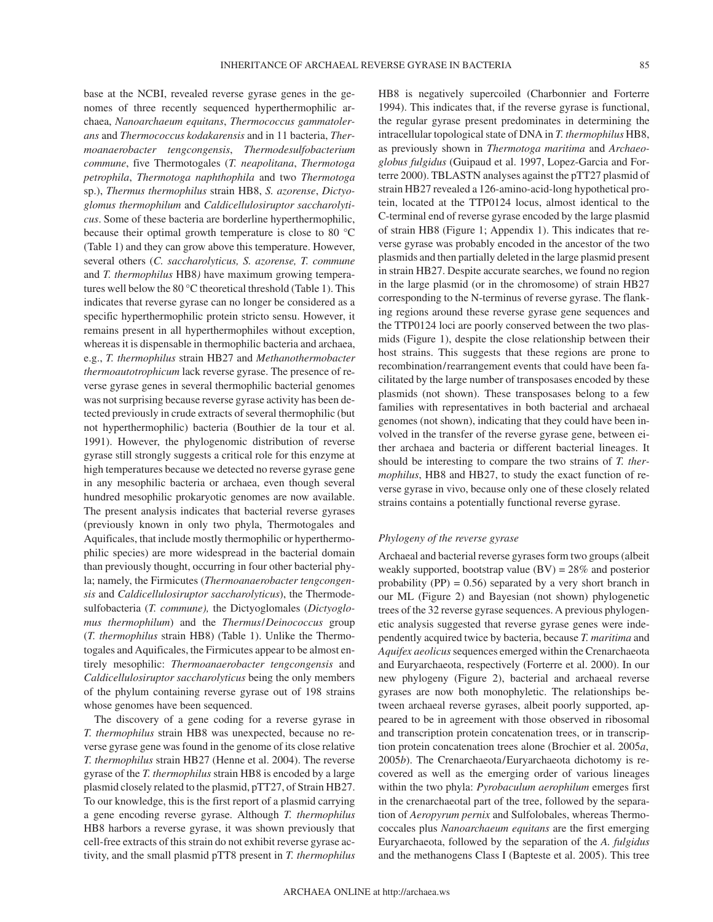base at the NCBI, revealed reverse gyrase genes in the genomes of three recently sequenced hyperthermophilic archaea, *Nanoarchaeum equitans*, *Thermococcus gammatolerans* and *Thermococcus kodakarensis* and in 11 bacteria, *Thermoanaerobacter tengcongensis*, *Thermodesulfobacterium commune*, five Thermotogales (*T. neapolitana*, *Thermotoga petrophila*, *Thermotoga naphthophila* and two *Thermotoga* sp.), *Thermus thermophilus* strain HB8, *S. azorense*, *Dictyoglomus thermophilum* and *Caldicellulosiruptor saccharolyticus*. Some of these bacteria are borderline hyperthermophilic, because their optimal growth temperature is close to 80 °C (Table 1) and they can grow above this temperature. However, several others (*C. saccharolyticus, S. azorense, T. commune* and *T. thermophilus* HB8*)* have maximum growing temperatures well below the 80 °C theoretical threshold (Table 1). This indicates that reverse gyrase can no longer be considered as a specific hyperthermophilic protein stricto sensu. However, it remains present in all hyperthermophiles without exception, whereas it is dispensable in thermophilic bacteria and archaea, e.g., *T. thermophilus* strain HB27 and *Methanothermobacter thermoautotrophicum* lack reverse gyrase. The presence of reverse gyrase genes in several thermophilic bacterial genomes was not surprising because reverse gyrase activity has been detected previously in crude extracts of several thermophilic (but not hyperthermophilic) bacteria (Bouthier de la tour et al. 1991). However, the phylogenomic distribution of reverse gyrase still strongly suggests a critical role for this enzyme at high temperatures because we detected no reverse gyrase gene in any mesophilic bacteria or archaea, even though several hundred mesophilic prokaryotic genomes are now available. The present analysis indicates that bacterial reverse gyrases (previously known in only two phyla, Thermotogales and Aquificales, that include mostly thermophilic or hyperthermophilic species) are more widespread in the bacterial domain than previously thought, occurring in four other bacterial phyla; namely, the Firmicutes (*Thermoanaerobacter tengcongensis* and *Caldicellulosiruptor saccharolyticus*), the Thermodesulfobacteria (*T. commune),* the Dictyoglomales (*Dictyoglomus thermophilum*) and the *Thermus*/*Deinococcus* group (*T. thermophilus* strain HB8) (Table 1). Unlike the Thermotogales and Aquificales, the Firmicutes appear to be almost entirely mesophilic: *Thermoanaerobacter tengcongensis* and *Caldicellulosiruptor saccharolyticus* being the only members of the phylum containing reverse gyrase out of 198 strains whose genomes have been sequenced.

The discovery of a gene coding for a reverse gyrase in *T. thermophilus* strain HB8 was unexpected, because no reverse gyrase gene was found in the genome of its close relative *T. thermophilus* strain HB27 (Henne et al. 2004). The reverse gyrase of the *T. thermophilus* strain HB8 is encoded by a large plasmid closely related to the plasmid, pTT27, of Strain HB27. To our knowledge, this is the first report of a plasmid carrying a gene encoding reverse gyrase. Although *T. thermophilus* HB8 harbors a reverse gyrase, it was shown previously that cell-free extracts of this strain do not exhibit reverse gyrase activity, and the small plasmid pTT8 present in *T. thermophilus* HB8 is negatively supercoiled (Charbonnier and Forterre 1994). This indicates that, if the reverse gyrase is functional, the regular gyrase present predominates in determining the intracellular topological state of DNA in *T. thermophilus* HB8, as previously shown in *Thermotoga maritima* and *Archaeoglobus fulgidus* (Guipaud et al. 1997, Lopez-Garcia and Forterre 2000). TBLASTN analyses against the pTT27 plasmid of strain HB27 revealed a 126-amino-acid-long hypothetical protein, located at the TTP0124 locus, almost identical to the C-terminal end of reverse gyrase encoded by the large plasmid of strain HB8 (Figure 1; Appendix 1). This indicates that reverse gyrase was probably encoded in the ancestor of the two plasmids and then partially deleted in the large plasmid present in strain HB27. Despite accurate searches, we found no region in the large plasmid (or in the chromosome) of strain HB27 corresponding to the N-terminus of reverse gyrase. The flanking regions around these reverse gyrase gene sequences and the TTP0124 loci are poorly conserved between the two plasmids (Figure 1), despite the close relationship between their host strains. This suggests that these regions are prone to recombination/rearrangement events that could have been facilitated by the large number of transposases encoded by these plasmids (not shown). These transposases belong to a few families with representatives in both bacterial and archaeal genomes (not shown), indicating that they could have been involved in the transfer of the reverse gyrase gene, between either archaea and bacteria or different bacterial lineages. It should be interesting to compare the two strains of *T. thermophilus*, HB8 and HB27, to study the exact function of reverse gyrase in vivo, because only one of these closely related strains contains a potentially functional reverse gyrase.

# *Phylogeny of the reverse gyrase*

Archaeal and bacterial reverse gyrases form two groups (albeit weakly supported, bootstrap value (BV) = 28% and posterior probability (PP) =  $0.56$ ) separated by a very short branch in our ML (Figure 2) and Bayesian (not shown) phylogenetic trees of the 32 reverse gyrase sequences. A previous phylogenetic analysis suggested that reverse gyrase genes were independently acquired twice by bacteria, because *T. maritima* and *Aquifex aeolicus*sequences emerged within the Crenarchaeota and Euryarchaeota, respectively (Forterre et al. 2000). In our new phylogeny (Figure 2), bacterial and archaeal reverse gyrases are now both monophyletic. The relationships between archaeal reverse gyrases, albeit poorly supported, appeared to be in agreement with those observed in ribosomal and transcription protein concatenation trees, or in transcription protein concatenation trees alone (Brochier et al. 2005*a*, 2005*b*). The Crenarchaeota/Euryarchaeota dichotomy is recovered as well as the emerging order of various lineages within the two phyla: *Pyrobaculum aerophilum* emerges first in the crenarchaeotal part of the tree, followed by the separation of *Aeropyrum pernix* and Sulfolobales, whereas Thermococcales plus *Nanoarchaeum equitans* are the first emerging Euryarchaeota, followed by the separation of the *A. fulgidus* and the methanogens Class I (Bapteste et al. 2005). This tree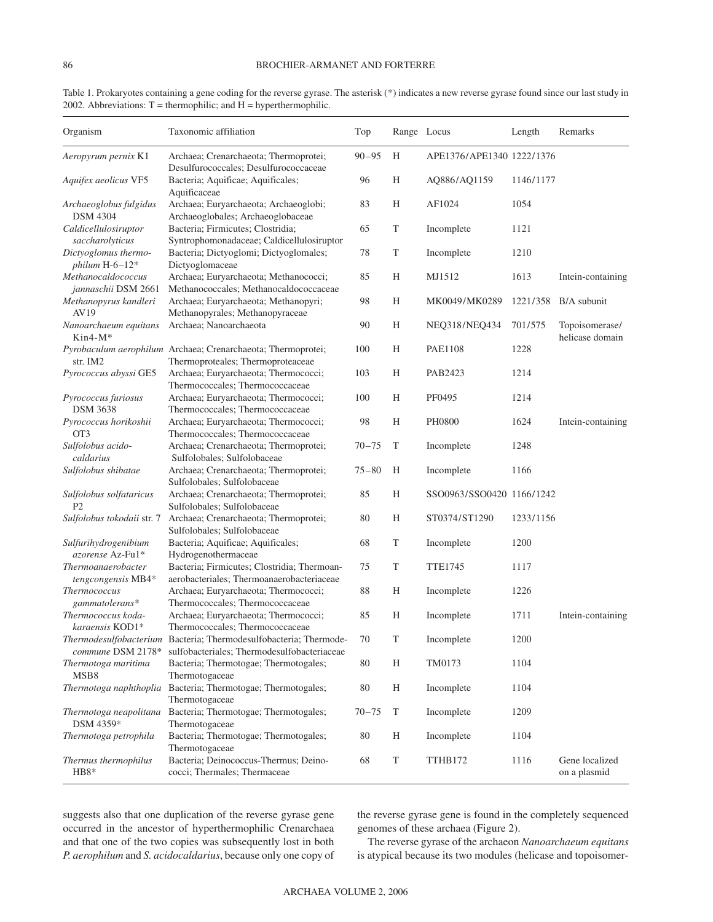|    | ۰.  |
|----|-----|
|    |     |
| ×, |     |
|    |     |
| 5  | i   |
| ٠  | I   |
| ٠  | . . |
| т. |     |
|    |     |

| Organism                                  | Taxonomic affiliation                                                                                                              | Top       | Range Locus |                           | Length    | Remarks                           |
|-------------------------------------------|------------------------------------------------------------------------------------------------------------------------------------|-----------|-------------|---------------------------|-----------|-----------------------------------|
| Aeropyrum pernix K1                       | Archaea; Crenarchaeota; Thermoprotei;<br>Desulfurococcales; Desulfurococcaceae                                                     | $90 - 95$ | Н           | APE1376/APE1340 1222/1376 |           |                                   |
| Aquifex aeolicus VF5                      | Bacteria; Aquificae; Aquificales;<br>Aquificaceae                                                                                  | 96        | H           | AQ886/AQ1159              | 1146/1177 |                                   |
| Archaeoglobus fulgidus<br><b>DSM 4304</b> | Archaea; Euryarchaeota; Archaeoglobi;<br>Archaeoglobales; Archaeoglobaceae                                                         | 83        | H           | AF1024                    | 1054      |                                   |
| Caldicellulosiruptor<br>saccharolyticus   | Bacteria; Firmicutes; Clostridia;<br>Syntrophomonadaceae; Caldicellulosiruptor                                                     | 65        | $\mathbf T$ | Incomplete                | 1121      |                                   |
| Dictyoglomus thermo-<br>philum $H-6-12*$  | Bacteria; Dictyoglomi; Dictyoglomales;<br>Dictyoglomaceae                                                                          | 78        | T           | Incomplete                | 1210      |                                   |
| Methanocaldococcus<br>jannaschii DSM 2661 | Archaea; Euryarchaeota; Methanococci;<br>Methanococcales; Methanocaldococcaceae                                                    | 85        | Н           | MJ1512                    | 1613      | Intein-containing                 |
| Methanopyrus kandleri<br>AV19             | Archaea; Euryarchaeota; Methanopyri;<br>Methanopyrales; Methanopyraceae                                                            | 98        | H           | MK0049/MK0289             | 1221/358  | B/A subunit                       |
| Nanoarchaeum equitans<br>$Kin4-M*$        | Archaea; Nanoarchaeota                                                                                                             | 90        | H           | NEQ318/NEQ434             | 701/575   | Topoisomerase/<br>helicase domain |
| str. IM2                                  | Pyrobaculum aerophilum Archaea; Crenarchaeota; Thermoprotei;<br>Thermoproteales; Thermoproteaceae                                  | 100       | H           | <b>PAE1108</b>            | 1228      |                                   |
| Pyrococcus abyssi GE5                     | Archaea; Euryarchaeota; Thermococci;<br>Thermococcales; Thermococcaceae                                                            | 103       | Н           | PAB2423                   | 1214      |                                   |
| Pyrococcus furiosus<br><b>DSM 3638</b>    | Archaea; Euryarchaeota; Thermococci;<br>Thermococcales; Thermococcaceae                                                            | 100       | Н           | PF0495                    | 1214      |                                   |
| Pyrococcus horikoshii<br>OT3              | Archaea; Euryarchaeota; Thermococci;<br>Thermococcales; Thermococcaceae                                                            | 98        | Н           | <b>PH0800</b>             | 1624      | Intein-containing                 |
| Sulfolobus acido-<br>caldarius            | Archaea; Crenarchaeota; Thermoprotei;<br>Sulfolobales; Sulfolobaceae                                                               | $70 - 75$ | T           | Incomplete                | 1248      |                                   |
| Sulfolobus shibatae                       | Archaea; Crenarchaeota; Thermoprotei;<br>Sulfolobales; Sulfolobaceae                                                               | $75 - 80$ | H           | Incomplete                | 1166      |                                   |
| Sulfolobus solfataricus<br>P <sub>2</sub> | Archaea; Crenarchaeota; Thermoprotei;<br>Sulfolobales; Sulfolobaceae                                                               | 85        | H           | SSO0963/SSO0420 1166/1242 |           |                                   |
| Sulfolobus tokodaii str. 7                | Archaea; Crenarchaeota; Thermoprotei;<br>Sulfolobales; Sulfolobaceae                                                               | 80        | Н           | ST0374/ST1290             | 1233/1156 |                                   |
| Sulfurihydrogenibium<br>azorense Az-Fu1*  | Bacteria; Aquificae; Aquificales;<br>Hydrogenothermaceae                                                                           | 68        | T           | Incomplete                | 1200      |                                   |
| Thermoanaerobacter<br>tengcongensis MB4*  | Bacteria; Firmicutes; Clostridia; Thermoan-<br>aerobacteriales; Thermoanaerobacteriaceae                                           | 75        | T           | <b>TTE1745</b>            | 1117      |                                   |
| Thermococcus<br>gammatolerans*            | Archaea; Euryarchaeota; Thermococci;<br>Thermococcales; Thermococcaceae                                                            | 88        | H           | Incomplete                | 1226      |                                   |
| Thermococcus koda-<br>karaensis KOD1*     | Archaea; Euryarchaeota; Thermococci;<br>Thermococcales; Thermococcaceae                                                            | 85        | H           | Incomplete                | 1711      | Intein-containing                 |
|                                           | Thermodesulfobacterium Bacteria; Thermodesulfobacteria; Thermode-<br>commune DSM 2178* sulfobacteriales; Thermodesulfobacteriaceae | 70        | $\mathbf T$ | Incomplete                | 1200      |                                   |
| Thermotoga maritima<br>MSB8               | Bacteria; Thermotogae; Thermotogales;<br>Thermotogaceae                                                                            | 80        | H           | TM0173                    | 1104      |                                   |
|                                           | Thermotoga naphthoplia Bacteria; Thermotogae; Thermotogales;<br>Thermotogaceae                                                     | 80        | H           | Incomplete                | 1104      |                                   |
| Thermotoga neapolitana<br>DSM 4359*       | Bacteria; Thermotogae; Thermotogales;<br>Thermotogaceae                                                                            | $70 - 75$ | T           | Incomplete                | 1209      |                                   |
| Thermotoga petrophila                     | Bacteria; Thermotogae; Thermotogales;<br>Thermotogaceae                                                                            | 80        | Н           | Incomplete                | 1104      |                                   |
| Thermus thermophilus<br>$HB8*$            | Bacteria; Deinococcus-Thermus; Deino-<br>cocci; Thermales; Thermaceae                                                              | 68        | T           | TTHB172                   | 1116      | Gene localized<br>on a plasmid    |

Table 1. Prokaryotes containing a gene coding for the reverse gyrase. The asterisk (\*) indicates a new reverse gyrase found since our last study in 2002. Abbreviations:  $T =$  thermophilic; and  $H =$  hyperthermophilic.

suggests also that one duplication of the reverse gyrase gene occurred in the ancestor of hyperthermophilic Crenarchaea and that one of the two copies was subsequently lost in both *P. aerophilum* and *S. acidocaldarius*, because only one copy of the reverse gyrase gene is found in the completely sequenced genomes of these archaea (Figure 2).

The reverse gyrase of the archaeon *Nanoarchaeum equitans* is atypical because its two modules (helicase and topoisomer-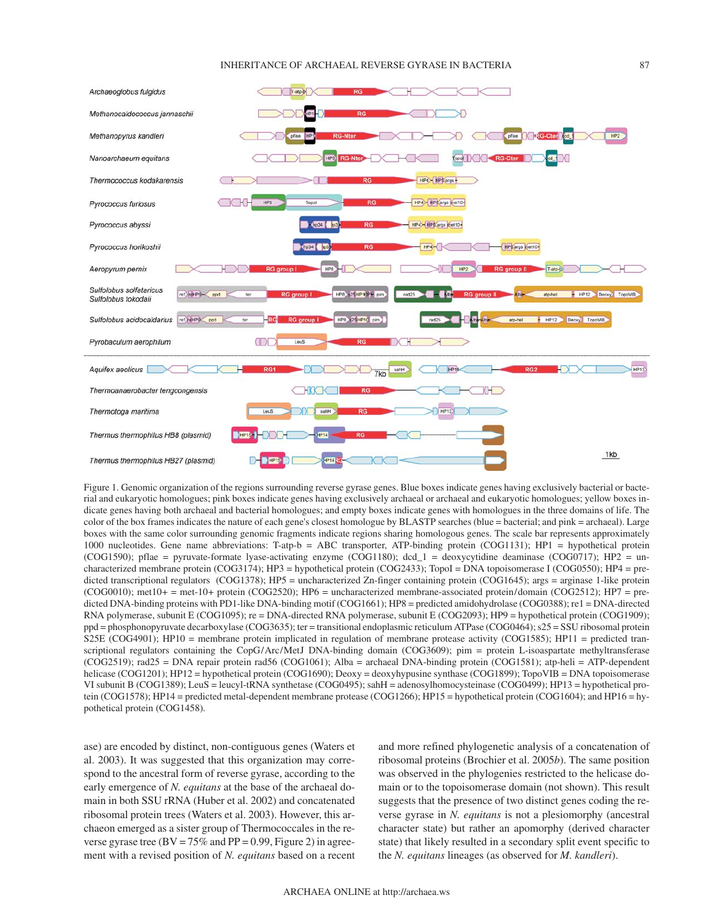

Figure 1. Genomic organization of the regions surrounding reverse gyrase genes. Blue boxes indicate genes having exclusively bacterial or bacterial and eukaryotic homologues; pink boxes indicate genes having exclusively archaeal or archaeal and eukaryotic homologues; yellow boxes indicate genes having both archaeal and bacterial homologues; and empty boxes indicate genes with homologues in the three domains of life. The color of the box frames indicates the nature of each gene's closest homologue by BLASTP searches (blue = bacterial; and pink = archaeal). Large boxes with the same color surrounding genomic fragments indicate regions sharing homologous genes. The scale bar represents approximately 1000 nucleotides. Gene name abbreviations: T-atp-b = ABC transporter, ATP-binding protein (COG1131); HP1 = hypothetical protein (COG1590); pflae = pyruvate-formate lyase-activating enzyme (COG1180); dcd\_1 = deoxycytidine deaminase (COG0717); HP2 = uncharacterized membrane protein (COG3174); HP3 = hypothetical protein (COG2433); TopoI = DNA topoisomerase I (COG0550); HP4 = predicted transcriptional regulators (COG1378); HP5 = uncharacterized Zn-finger containing protein (COG1645); args = arginase 1-like protein  $(COG0010)$ ; met $10+$  = met $-10+$  protein  $(COG2520)$ ; HP6 = uncharacterized membrane-associated protein/domain  $(COG2512)$ ; HP7 = predicted DNA-binding proteins with PD1-like DNA-binding motif (COG1661); HP8 = predicted amidohydrolase (COG0388); re1 = DNA-directed RNA polymerase, subunit E (COG1095); re = DNA-directed RNA polymerase, subunit E (COG2093); HP9 = hypothetical protein (COG1909); ppd = phosphonopyruvate decarboxylase (COG3635); ter = transitional endoplasmic reticulum ATPase (COG0464); s25 = SSU ribosomal protein S25E (COG4901); HP10 = membrane protein implicated in regulation of membrane protease activity (COG1585); HP11 = predicted transcriptional regulators containing the CopG/Arc/MetJ DNA-binding domain (COG3609); pim = protein L-isoaspartate methyltransferase (COG2519); rad25 = DNA repair protein rad56 (COG1061); Alba = archaeal DNA-binding protein (COG1581); atp-heli = ATP-dependent helicase (COG1201); HP12 = hypothetical protein (COG1690); Deoxy = deoxyhypusine synthase (COG1899); TopoVIB = DNA topoisomerase VI subunit B (COG1389); LeuS = leucyl-tRNA synthetase (COG0495); sahH = adenosylhomocysteinase (COG0499); HP13 = hypothetical protein (COG1578); HP14 = predicted metal-dependent membrane protease (COG1266); HP15 = hypothetical protein (COG1604); and HP16 = hypothetical protein (COG1458).

ase) are encoded by distinct, non-contiguous genes (Waters et al. 2003). It was suggested that this organization may correspond to the ancestral form of reverse gyrase, according to the early emergence of *N. equitans* at the base of the archaeal domain in both SSU rRNA (Huber et al. 2002) and concatenated ribosomal protein trees (Waters et al. 2003). However, this archaeon emerged as a sister group of Thermococcales in the reverse gyrase tree ( $BV = 75\%$  and  $PP = 0.99$ , Figure 2) in agreement with a revised position of *N. equitans* based on a recent and more refined phylogenetic analysis of a concatenation of ribosomal proteins (Brochier et al. 2005*b*). The same position was observed in the phylogenies restricted to the helicase domain or to the topoisomerase domain (not shown). This result suggests that the presence of two distinct genes coding the reverse gyrase in *N. equitans* is not a plesiomorphy (ancestral character state) but rather an apomorphy (derived character state) that likely resulted in a secondary split event specific to the *N. equitans* lineages (as observed for *M. kandleri*).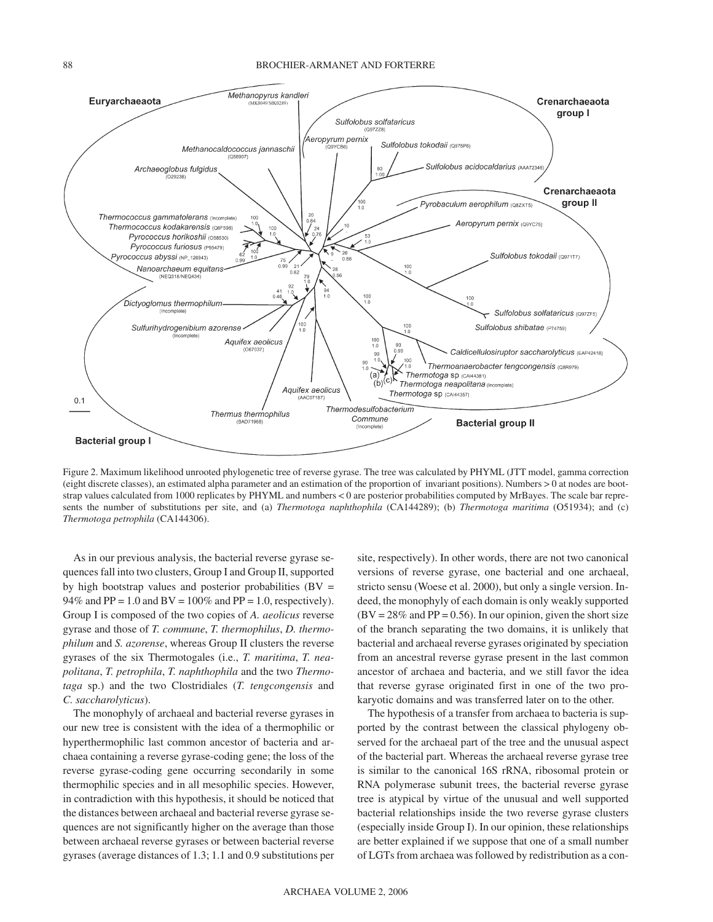

Figure 2. Maximum likelihood unrooted phylogenetic tree of reverse gyrase. The tree was calculated by PHYML (JTT model, gamma correction (eight discrete classes), an estimated alpha parameter and an estimation of the proportion of invariant positions). Numbers > 0 at nodes are bootstrap values calculated from 1000 replicates by PHYML and numbers < 0 are posterior probabilities computed by MrBayes. The scale bar represents the number of substitutions per site, and (a) *Thermotoga naphthophila* (CA144289); (b) *Thermotoga maritima* (O51934); and (c) *Thermotoga petrophila* (CA144306).

As in our previous analysis, the bacterial reverse gyrase sequences fall into two clusters, Group I and Group II, supported by high bootstrap values and posterior probabilities  $(BV =$ 94% and  $PP = 1.0$  and  $BV = 100\%$  and  $PP = 1.0$ , respectively). Group I is composed of the two copies of *A. aeolicus* reverse gyrase and those of *T. commune*, *T. thermophilus*, *D. thermophilum* and *S. azorense*, whereas Group II clusters the reverse gyrases of the six Thermotogales (i.e., *T. maritima*, *T. neapolitana*, *T. petrophila*, *T. naphthophila* and the two *Thermotaga* sp.) and the two Clostridiales (*T. tengcongensis* and *C. saccharolyticus*).

The monophyly of archaeal and bacterial reverse gyrases in our new tree is consistent with the idea of a thermophilic or hyperthermophilic last common ancestor of bacteria and archaea containing a reverse gyrase-coding gene; the loss of the reverse gyrase-coding gene occurring secondarily in some thermophilic species and in all mesophilic species. However, in contradiction with this hypothesis, it should be noticed that the distances between archaeal and bacterial reverse gyrase sequences are not significantly higher on the average than those between archaeal reverse gyrases or between bacterial reverse gyrases (average distances of 1.3; 1.1 and 0.9 substitutions per site, respectively). In other words, there are not two canonical versions of reverse gyrase, one bacterial and one archaeal, stricto sensu (Woese et al. 2000), but only a single version. Indeed, the monophyly of each domain is only weakly supported  $(BV = 28\%$  and PP = 0.56). In our opinion, given the short size of the branch separating the two domains, it is unlikely that bacterial and archaeal reverse gyrases originated by speciation from an ancestral reverse gyrase present in the last common ancestor of archaea and bacteria, and we still favor the idea that reverse gyrase originated first in one of the two prokaryotic domains and was transferred later on to the other.

The hypothesis of a transfer from archaea to bacteria is supported by the contrast between the classical phylogeny observed for the archaeal part of the tree and the unusual aspect of the bacterial part. Whereas the archaeal reverse gyrase tree is similar to the canonical 16S rRNA, ribosomal protein or RNA polymerase subunit trees, the bacterial reverse gyrase tree is atypical by virtue of the unusual and well supported bacterial relationships inside the two reverse gyrase clusters (especially inside Group I). In our opinion, these relationships are better explained if we suppose that one of a small number of LGTs from archaea was followed by redistribution as a con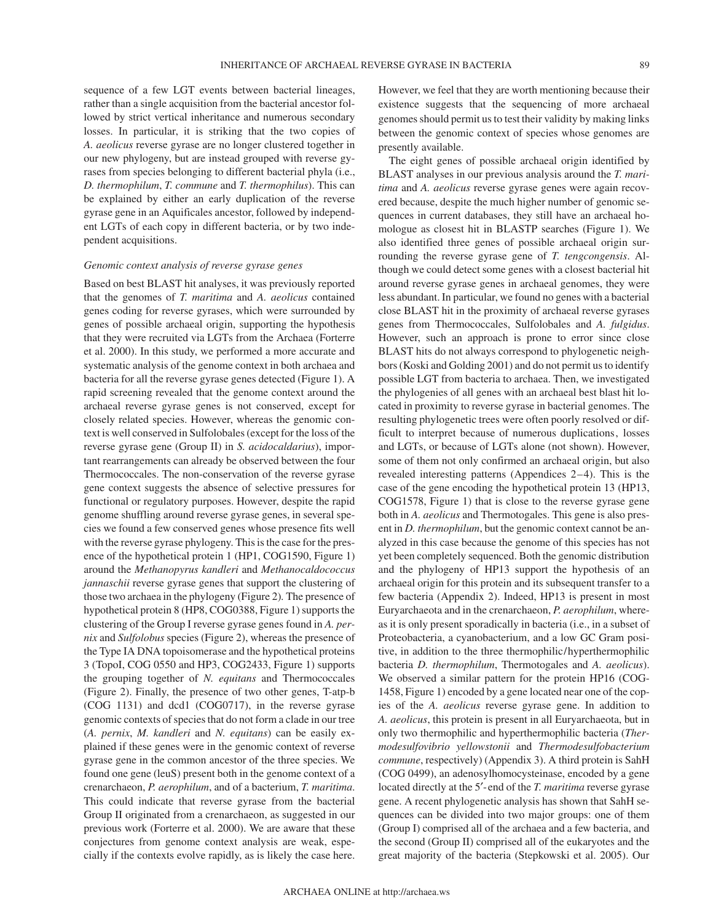sequence of a few LGT events between bacterial lineages, rather than a single acquisition from the bacterial ancestor followed by strict vertical inheritance and numerous secondary losses. In particular, it is striking that the two copies of *A. aeolicus* reverse gyrase are no longer clustered together in our new phylogeny, but are instead grouped with reverse gyrases from species belonging to different bacterial phyla (i.e., *D. thermophilum*, *T. commune* and *T. thermophilus*). This can be explained by either an early duplication of the reverse gyrase gene in an Aquificales ancestor, followed by independent LGTs of each copy in different bacteria, or by two independent acquisitions.

#### *Genomic context analysis of reverse gyrase genes*

Based on best BLAST hit analyses, it was previously reported that the genomes of *T. maritima* and *A. aeolicus* contained genes coding for reverse gyrases, which were surrounded by genes of possible archaeal origin, supporting the hypothesis that they were recruited via LGTs from the Archaea (Forterre et al. 2000). In this study, we performed a more accurate and systematic analysis of the genome context in both archaea and bacteria for all the reverse gyrase genes detected (Figure 1). A rapid screening revealed that the genome context around the archaeal reverse gyrase genes is not conserved, except for closely related species. However, whereas the genomic context is well conserved in Sulfolobales (except for the loss of the reverse gyrase gene (Group II) in *S. acidocaldarius*), important rearrangements can already be observed between the four Thermococcales. The non-conservation of the reverse gyrase gene context suggests the absence of selective pressures for functional or regulatory purposes. However, despite the rapid genome shuffling around reverse gyrase genes, in several species we found a few conserved genes whose presence fits well with the reverse gyrase phylogeny. This is the case for the presence of the hypothetical protein 1 (HP1, COG1590, Figure 1) around the *Methanopyrus kandleri* and *Methanocaldococcus jannaschii* reverse gyrase genes that support the clustering of those two archaea in the phylogeny (Figure 2)*.* The presence of hypothetical protein 8 (HP8, COG0388, Figure 1) supports the clustering of the Group I reverse gyrase genes found in *A. pernix* and *Sulfolobus* species (Figure 2), whereas the presence of the Type IA DNA topoisomerase and the hypothetical proteins 3 (TopoI, COG 0550 and HP3, COG2433, Figure 1) supports the grouping together of *N. equitans* and Thermococcales (Figure 2). Finally, the presence of two other genes, T-atp-b (COG 1131) and dcd1 (COG0717), in the reverse gyrase genomic contexts of species that do not form a clade in our tree (*A. pernix*, *M. kandleri* and *N. equitans*) can be easily explained if these genes were in the genomic context of reverse gyrase gene in the common ancestor of the three species. We found one gene (leuS) present both in the genome context of a crenarchaeon, *P. aerophilum*, and of a bacterium, *T. maritima*. This could indicate that reverse gyrase from the bacterial Group II originated from a crenarchaeon, as suggested in our previous work (Forterre et al. 2000). We are aware that these conjectures from genome context analysis are weak, especially if the contexts evolve rapidly, as is likely the case here.

However, we feel that they are worth mentioning because their existence suggests that the sequencing of more archaeal genomes should permit us to test their validity by making links between the genomic context of species whose genomes are presently available.

The eight genes of possible archaeal origin identified by BLAST analyses in our previous analysis around the *T. maritima* and *A. aeolicus* reverse gyrase genes were again recovered because, despite the much higher number of genomic sequences in current databases, they still have an archaeal homologue as closest hit in BLASTP searches (Figure 1). We also identified three genes of possible archaeal origin surrounding the reverse gyrase gene of *T. tengcongensis*. Although we could detect some genes with a closest bacterial hit around reverse gyrase genes in archaeal genomes, they were less abundant. In particular, we found no genes with a bacterial close BLAST hit in the proximity of archaeal reverse gyrases genes from Thermococcales, Sulfolobales and *A. fulgidus*. However, such an approach is prone to error since close BLAST hits do not always correspond to phylogenetic neighbors (Koski and Golding 2001) and do not permit us to identify possible LGT from bacteria to archaea. Then, we investigated the phylogenies of all genes with an archaeal best blast hit located in proximity to reverse gyrase in bacterial genomes. The resulting phylogenetic trees were often poorly resolved or difficult to interpret because of numerous duplications, losses and LGTs, or because of LGTs alone (not shown). However, some of them not only confirmed an archaeal origin, but also revealed interesting patterns (Appendices 2–4). This is the case of the gene encoding the hypothetical protein 13 (HP13, COG1578, Figure 1) that is close to the reverse gyrase gene both in *A. aeolicus* and Thermotogales. This gene is also present in *D. thermophilum*, but the genomic context cannot be analyzed in this case because the genome of this species has not yet been completely sequenced. Both the genomic distribution and the phylogeny of HP13 support the hypothesis of an archaeal origin for this protein and its subsequent transfer to a few bacteria (Appendix 2). Indeed, HP13 is present in most Euryarchaeota and in the crenarchaeon, *P. aerophilum*, whereas it is only present sporadically in bacteria (i.e., in a subset of Proteobacteria, a cyanobacterium, and a low GC Gram positive, in addition to the three thermophilic/hyperthermophilic bacteria *D. thermophilum*, Thermotogales and *A. aeolicus*). We observed a similar pattern for the protein HP16 (COG-1458, Figure 1) encoded by a gene located near one of the copies of the *A. aeolicus* reverse gyrase gene. In addition to *A. aeolicus*, this protein is present in all Euryarchaeota, but in only two thermophilic and hyperthermophilic bacteria (*Thermodesulfovibrio yellowstonii* and *Thermodesulfobacterium commune*, respectively) (Appendix 3). A third protein is SahH (COG 0499), an adenosylhomocysteinase, encoded by a gene located directly at the 5′-end of the *T. maritima* reverse gyrase gene. A recent phylogenetic analysis has shown that SahH sequences can be divided into two major groups: one of them (Group I) comprised all of the archaea and a few bacteria, and the second (Group II) comprised all of the eukaryotes and the great majority of the bacteria (Stepkowski et al. 2005). Our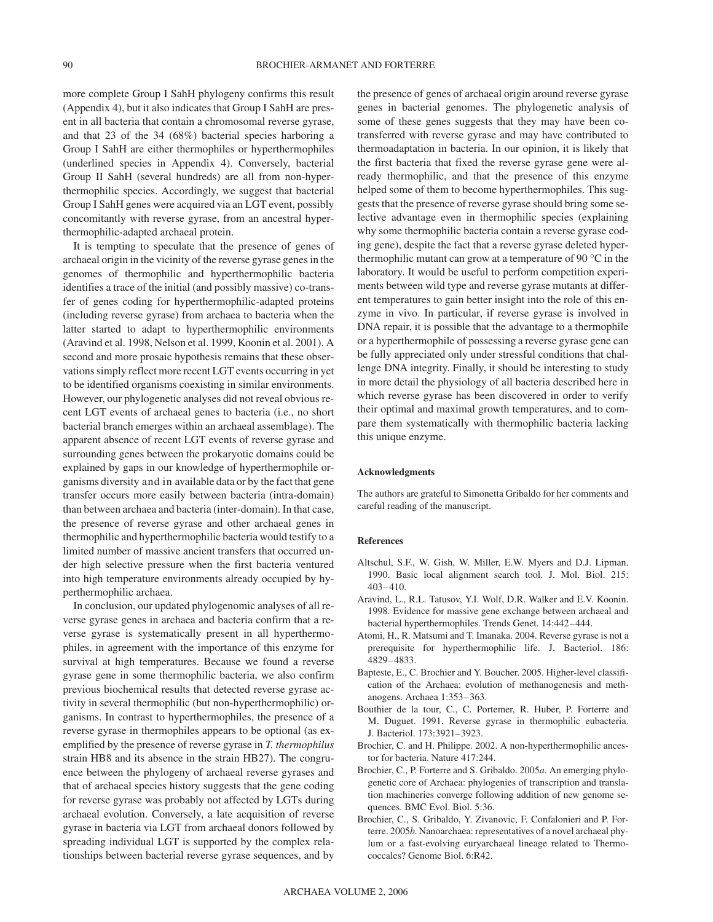more complete Group I SahH phylogeny confirms this result (Appendix 4), but it also indicates that Group I SahH are present in all bacteria that contain a chromosomal reverse gyrase, and that 23 of the 34 (68%) bacterial species harboring a Group I SahH are either thermophiles or hyperthermophiles (underlined species in Appendix 4). Conversely, bacterial Group II SahH (several hundreds) are all from non-hyperthermophilic species. Accordingly, we suggest that bacterial Group I SahH genes were acquired via an LGT event, possibly concomitantly with reverse gyrase, from an ancestral hyperthermophilic-adapted archaeal protein.

It is tempting to speculate that the presence of genes of archaeal origin in the vicinity of the reverse gyrase genes in the genomes of thermophilic and hyperthermophilic bacteria identifies a trace of the initial (and possibly massive) co-transfer of genes coding for hyperthermophilic-adapted proteins (including reverse gyrase) from archaea to bacteria when the latter started to adapt to hyperthermophilic environments (Aravind et al. 1998, Nelson et al. 1999, Koonin et al. 2001). A second and more prosaic hypothesis remains that these observations simply reflect more recent LGT events occurring in yet to be identified organisms coexisting in similar environments. However, our phylogenetic analyses did not reveal obvious recent LGT events of archaeal genes to bacteria (i.e., no short bacterial branch emerges within an archaeal assemblage). The apparent absence of recent LGT events of reverse gyrase and surrounding genes between the prokaryotic domains could be explained by gaps in our knowledge of hyperthermophile organisms diversity and in available data or by the fact that gene transfer occurs more easily between bacteria (intra-domain) than between archaea and bacteria (inter-domain). In that case, the presence of reverse gyrase and other archaeal genes in thermophilic and hyperthermophilic bacteria would testify to a limited number of massive ancient transfers that occurred under high selective pressure when the first bacteria ventured into high temperature environments already occupied by hyperthermophilic archaea.

In conclusion, our updated phylogenomic analyses of all reverse gyrase genes in archaea and bacteria confirm that a reverse gyrase is systematically present in all hyperthermophiles, in agreement with the importance of this enzyme for survival at high temperatures. Because we found a reverse gyrase gene in some thermophilic bacteria, we also confirm previous biochemical results that detected reverse gyrase activity in several thermophilic (but non-hyperthermophilic) organisms. In contrast to hyperthermophiles, the presence of a reverse gyrase in thermophiles appears to be optional (as exemplified by the presence of reverse gyrase in *T. thermophilus* strain HB8 and its absence in the strain HB27). The congruence between the phylogeny of archaeal reverse gyrases and that of archaeal species history suggests that the gene coding for reverse gyrase was probably not affected by LGTs during archaeal evolution. Conversely, a late acquisition of reverse gyrase in bacteria via LGT from archaeal donors followed by spreading individual LGT is supported by the complex relationships between bacterial reverse gyrase sequences, and by the presence of genes of archaeal origin around reverse gyrase genes in bacterial genomes. The phylogenetic analysis of some of these genes suggests that they may have been cotransferred with reverse gyrase and may have contributed to thermoadaptation in bacteria. In our opinion, it is likely that the first bacteria that fixed the reverse gyrase gene were already thermophilic, and that the presence of this enzyme helped some of them to become hyperthermophiles. This suggests that the presence of reverse gyrase should bring some selective advantage even in thermophilic species (explaining why some thermophilic bacteria contain a reverse gyrase coding gene), despite the fact that a reverse gyrase deleted hyperthermophilic mutant can grow at a temperature of 90 °C in the laboratory. It would be useful to perform competition experiments between wild type and reverse gyrase mutants at different temperatures to gain better insight into the role of this enzyme in vivo. In particular, if reverse gyrase is involved in DNA repair, it is possible that the advantage to a thermophile or a hyperthermophile of possessing a reverse gyrase gene can be fully appreciated only under stressful conditions that challenge DNA integrity. Finally, it should be interesting to study in more detail the physiology of all bacteria described here in which reverse gyrase has been discovered in order to verify their optimal and maximal growth temperatures, and to compare them systematically with thermophilic bacteria lacking this unique enzyme.

#### **Acknowledgments**

The authors are grateful to Simonetta Gribaldo for her comments and careful reading of the manuscript.

#### **References**

- Altschul, S.F., W. Gish, W. Miller, E.W. Myers and D.J. Lipman. 1990. Basic local alignment search tool. J. Mol. Biol. 215: 403–410.
- Aravind, L., R.L. Tatusov, Y.I. Wolf, D.R. Walker and E.V. Koonin. 1998. Evidence for massive gene exchange between archaeal and bacterial hyperthermophiles. Trends Genet. 14:442–444.
- Atomi, H., R. Matsumi and T. Imanaka. 2004. Reverse gyrase is not a prerequisite for hyperthermophilic life. J. Bacteriol. 186: 4829–4833.
- Bapteste, E., C. Brochier and Y. Boucher. 2005. Higher-level classification of the Archaea: evolution of methanogenesis and methanogens. Archaea 1:353–363.
- Bouthier de la tour, C., C. Portemer, R. Huber, P. Forterre and M. Duguet. 1991. Reverse gyrase in thermophilic eubacteria. J. Bacteriol. 173:3921–3923.
- Brochier, C. and H. Philippe. 2002. A non-hyperthermophilic ancestor for bacteria. Nature 417:244.
- Brochier, C., P. Forterre and S. Gribaldo. 2005*a*. An emerging phylogenetic core of Archaea: phylogenies of transcription and translation machineries converge following addition of new genome sequences. BMC Evol. Biol. 5:36.
- Brochier, C., S. Gribaldo, Y. Zivanovic, F. Confalonieri and P. Forterre. 2005*b*. Nanoarchaea: representatives of a novel archaeal phylum or a fast-evolving euryarchaeal lineage related to Thermococcales? Genome Biol. 6:R42.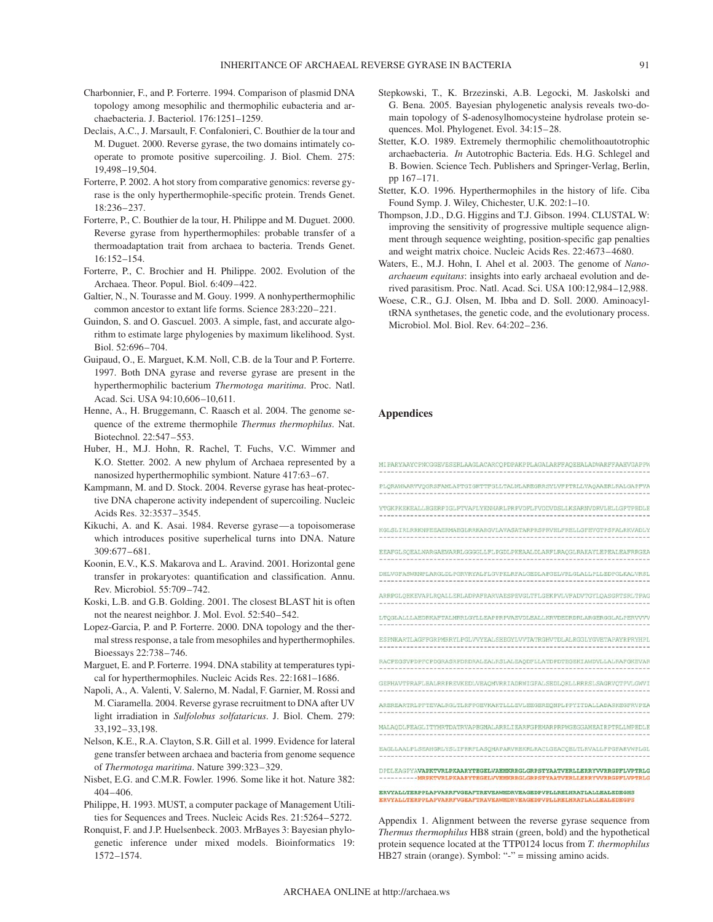- Charbonnier, F., and P. Forterre. 1994. Comparison of plasmid DNA topology among mesophilic and thermophilic eubacteria and archaebacteria. J. Bacteriol. 176:1251–1259.
- Declais, A.C., J. Marsault, F. Confalonieri, C. Bouthier de la tour and M. Duguet. 2000. Reverse gyrase, the two domains intimately cooperate to promote positive supercoiling. J. Biol. Chem. 275: 19,498–19,504.
- Forterre, P. 2002. A hot story from comparative genomics: reverse gyrase is the only hyperthermophile-specific protein. Trends Genet. 18:236–237.
- Forterre, P., C. Bouthier de la tour, H. Philippe and M. Duguet. 2000. Reverse gyrase from hyperthermophiles: probable transfer of a thermoadaptation trait from archaea to bacteria. Trends Genet. 16:152–154.
- Forterre, P., C. Brochier and H. Philippe. 2002. Evolution of the Archaea. Theor. Popul. Biol. 6:409–422.
- Galtier, N., N. Tourasse and M. Gouy. 1999. A nonhyperthermophilic common ancestor to extant life forms. Science 283:220–221.
- Guindon, S. and O. Gascuel. 2003. A simple, fast, and accurate algorithm to estimate large phylogenies by maximum likelihood. Syst. Biol. 52:696–704.
- Guipaud, O., E. Marguet, K.M. Noll, C.B. de la Tour and P. Forterre. 1997. Both DNA gyrase and reverse gyrase are present in the hyperthermophilic bacterium *Thermotoga maritima*. Proc. Natl. Acad. Sci. USA 94:10,606–10,611.
- Henne, A., H. Bruggemann, C. Raasch et al. 2004. The genome sequence of the extreme thermophile *Thermus thermophilus*. Nat. Biotechnol. 22:547–553.
- Huber, H., M.J. Hohn, R. Rachel, T. Fuchs, V.C. Wimmer and K.O. Stetter. 2002. A new phylum of Archaea represented by a nanosized hyperthermophilic symbiont. Nature 417:63–67.
- Kampmann, M. and D. Stock. 2004. Reverse gyrase has heat-protective DNA chaperone activity independent of supercoiling. Nucleic Acids Res. 32:3537–3545.
- Kikuchi, A. and K. Asai. 1984. Reverse gyrase—a topoisomerase which introduces positive superhelical turns into DNA. Nature 309:677–681.
- Koonin, E.V., K.S. Makarova and L. Aravind. 2001. Horizontal gene transfer in prokaryotes: quantification and classification. Annu. Rev. Microbiol. 55:709–742.
- Koski, L.B. and G.B. Golding. 2001. The closest BLAST hit is often not the nearest neighbor. J. Mol. Evol. 52:540–542.
- Lopez-Garcia, P. and P. Forterre. 2000. DNA topology and the thermal stress response, a tale from mesophiles and hyperthermophiles. Bioessays 22:738–746.
- Marguet, E. and P. Forterre. 1994. DNA stability at temperatures typical for hyperthermophiles. Nucleic Acids Res. 22:1681–1686.
- Napoli, A., A. Valenti, V. Salerno, M. Nadal, F. Garnier, M. Rossi and M. Ciaramella. 2004. Reverse gyrase recruitment to DNA after UV light irradiation in *Sulfolobus solfataricus*. J. Biol. Chem. 279: 33,192–33,198.
- Nelson, K.E., R.A. Clayton, S.R. Gill et al. 1999. Evidence for lateral gene transfer between archaea and bacteria from genome sequence of *Thermotoga maritima*. Nature 399:323–329.
- Nisbet, E.G. and C.M.R. Fowler. 1996. Some like it hot. Nature 382: 404–406.
- Philippe, H. 1993. MUST, a computer package of Management Utilities for Sequences and Trees. Nucleic Acids Res. 21:5264–5272.
- Ronquist, F. and J.P. Huelsenbeck. 2003. MrBayes 3: Bayesian phylogenetic inference under mixed models. Bioinformatics 19: 1572–1574.
- Stepkowski, T., K. Brzezinski, A.B. Legocki, M. Jaskolski and G. Bena. 2005. Bayesian phylogenetic analysis reveals two-domain topology of S-adenosylhomocysteine hydrolase protein sequences. Mol. Phylogenet. Evol. 34:15–28.
- Stetter, K.O. 1989. Extremely thermophilic chemolithoautotrophic archaebacteria. *In* Autotrophic Bacteria. Eds. H.G. Schlegel and B. Bowien. Science Tech. Publishers and Springer-Verlag, Berlin, pp 167–171.
- Stetter, K.O. 1996. Hyperthermophiles in the history of life. Ciba Found Symp. J. Wiley, Chichester, U.K. 202:1–10.
- Thompson, J.D., D.G. Higgins and T.J. Gibson. 1994. CLUSTAL W: improving the sensitivity of progressive multiple sequence alignment through sequence weighting, position-specific gap penalties and weight matrix choice. Nucleic Acids Res. 22:4673–4680.
- Waters, E., M.J. Hohn, I. Ahel et al. 2003. The genome of *Nanoarchaeum equitans*: insights into early archaeal evolution and derived parasitism. Proc. Natl. Acad. Sci. USA 100:12,984–12,988.
- Woese, C.R., G.J. Olsen, M. Ibba and D. Soll. 2000. AminoacyltRNA synthetases, the genetic code, and the evolutionary process. Microbiol. Mol. Biol. Rev. 64:202–236.

## **Appendices**

MIPARYAAYCPNCGGEVESERLAAGLACARCQPDPAKPPLAGALARFFAQEEALADWARFFAAHVGAPFW PLORAWAARVVOGRSFAMLAPTGIGKTTFGLLTALWLAREGRRSYLVFPTRLLVAOAAERLRALGAPFVA YTGKPKEKEALLEGERPIGLFTVAFLYKNHARLPRPVDFLFVDDVDSLLKSARNVDRVLELLGFTPEDLE KGLSLIRLRRKNPEEAERMAEGLRRKARGVLAVASATARPRSPRVHLFRELLGFEVGTPSFALRKVADLY EEAFGLSOEALWARGAEWARRLGGGGLLFLPGDLPKEAALDLARFLRAOGLRAKAYLEPEALEAFRRGEA DHLVGFASWRNPLARGLDLPGRVRYALFLGVPKLRFALGEDLAPGELVRLGLALLPLLEDPGLKALVRSL ARRPGLQEKEVAPLRQALLERLADPAFRARVAESPEVGLTFLGEKPVLVFADVTGYLQASGRTSRLTPAG LTQGLALLLAEDRKAFTALMRRLGYLLEAPPRPVAEVDLEALLKRVDEDRDRLARGERGGLALPERVVVV ESPNKARTLAGFFGRPMRRYLPGLVVYEALSEEGYLVVTATRGHVTDLALRGGLYGVETAPAYRPRYHPL RACPEGSVPDPFCPDGRASRPDRDRALEALRSLALEAQDFLLATDPDTEGEKIAWDVLLALRAFGKEVAR GEFHAVTPRAFLEALRRPREVKEDLVEAOMVRRIADRWIGFALSEDLOKLLRRRSLSAGRVOTPVLGWVI AREREARTRLPFTEVALRGLTLRFPGEVKAKTLLLEVLEEGEREONPLPPYITDALLADASKEGFRVPEA MALAODLFEAGLITYHRTDATRVAPEGMALARRLIEARFGPEHARPRPWGEGGAHEAIRPTRLLWPEDLE EAGLLAALPLSEAHGRLYSLIFRRFLASQMAPARVREKRLRACLGEACQELTLRVALLFPGFARVWPLGL DPDLEAGPYAVAPKTVRLPKAARYTEGELVAEMKRRGLGRPSTYAATVERLLERRYVVRRGPFLVPTRLG MRPKTVRLPKAARYTEGELVVEMKRRGLGRPSTYAATVERLLERRYVVRRGPFLVPTRLG ERVYALLTERPPLAPVARRFVGEAFTREVEAWMDRVEAGEDPVPLLRELHRATLALLEALEDEGHS ERVYALLTERPPLAPVARRFVGEAFTRAVEAWMDRVEAGEDPVPLLRELHRATLALLEALEDE

Appendix 1. Alignment between the reverse gyrase sequence from *Thermus thermophilus* HB8 strain (green, bold) and the hypothetical protein sequence located at the TTP0124 locus from *T. thermophilus* HB27 strain (orange). Symbol: "-" = missing amino acids.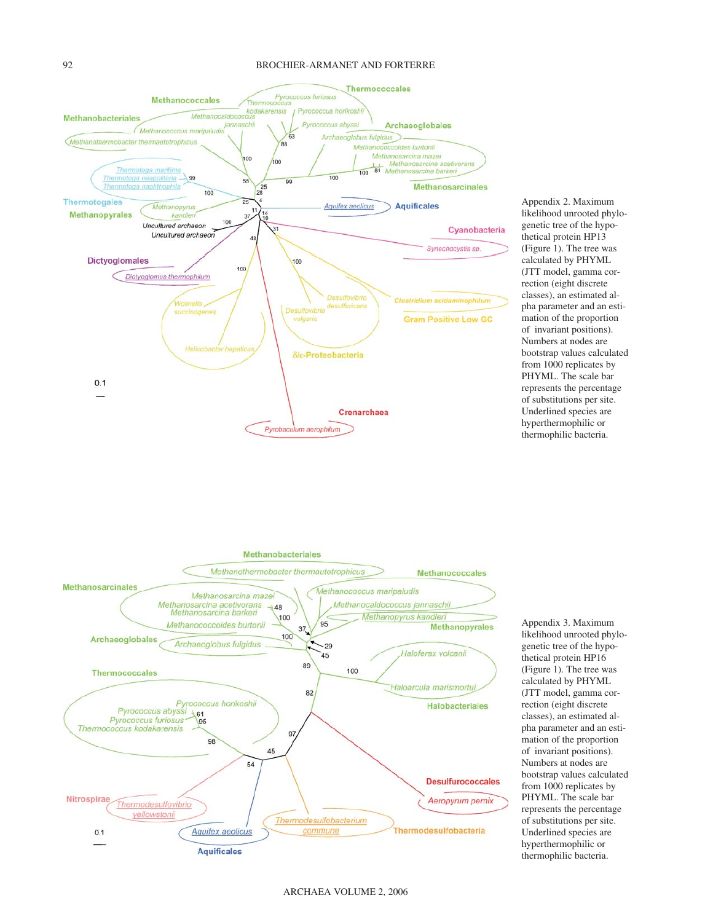## 92 BROCHIER-ARMANET AND FORTERRE



Appendix 2. Maximum likelihood unrooted phylogenetic tree of the hypothetical protein HP13 (Figure 1). The tree was calculated by PHYML (JTT model, gamma correction (eight discrete classes), an estimated alpha parameter and an estimation of the proportion of invariant positions). Numbers at nodes are bootstrap values calculated from 1000 replicates by PHYML. The scale bar represents the percentage of substitutions per site. Underlined species are hyperthermophilic or thermophilic bacteria.



Appendix 3. Maximum likelihood unrooted phylogenetic tree of the hypothetical protein HP16 (Figure 1). The tree was calculated by PHYML (JTT model, gamma correction (eight discrete classes), an estimated alpha parameter and an estimation of the proportion of invariant positions). Numbers at nodes are bootstrap values calculated from 1000 replicates by PHYML. The scale bar represents the percentage of substitutions per site. Underlined species are hyperthermophilic or thermophilic bacteria.

ARCHAEA VOLUME 2, 2006